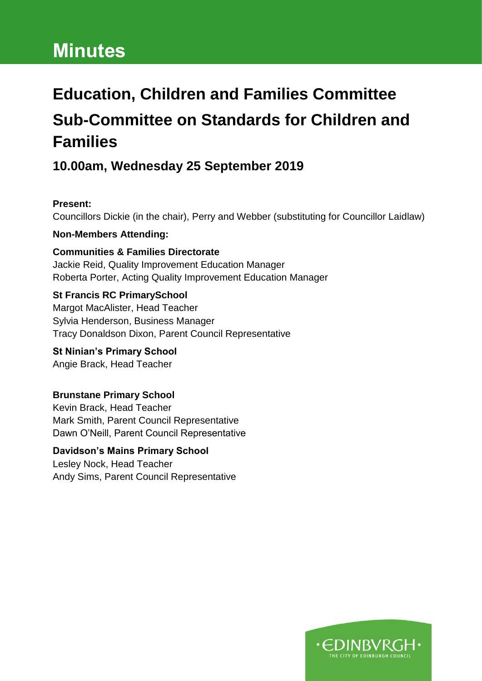# **Minutes**

# **Education, Children and Families Committee Sub-Committee on Standards for Children and Families**

# **10.00am, Wednesday 25 September 2019**

#### **Present:**

Councillors Dickie (in the chair), Perry and Webber (substituting for Councillor Laidlaw)

#### **Non-Members Attending:**

**Communities & Families Directorate** Jackie Reid, Quality Improvement Education Manager Roberta Porter, Acting Quality Improvement Education Manager

#### **St Francis RC PrimarySchool**

Margot MacAlister, Head Teacher Sylvia Henderson, Business Manager Tracy Donaldson Dixon, Parent Council Representative

**St Ninian's Primary School** Angie Brack, Head Teacher

#### **Brunstane Primary School**

Kevin Brack, Head Teacher Mark Smith, Parent Council Representative Dawn O'Neill, Parent Council Representative

# **Davidson's Mains Primary School**

Lesley Nock, Head Teacher Andy Sims, Parent Council Representative

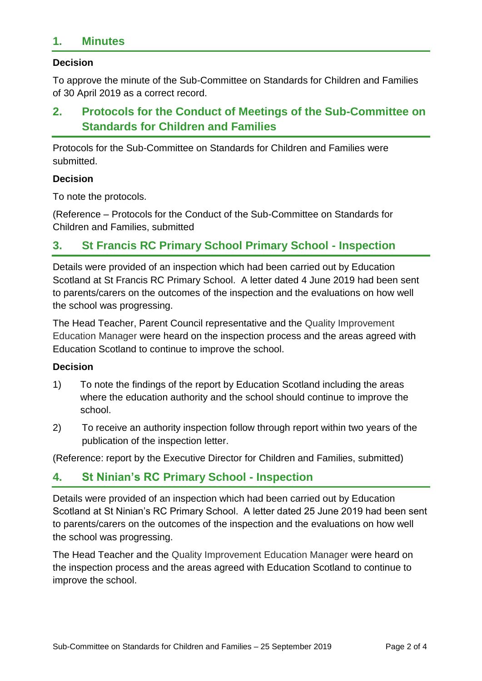## **1. Minutes**

#### **Decision**

To approve the minute of the Sub-Committee on Standards for Children and Families of 30 April 2019 as a correct record.

# **2. Protocols for the Conduct of Meetings of the Sub-Committee on Standards for Children and Families**

Protocols for the Sub-Committee on Standards for Children and Families were submitted.

#### **Decision**

To note the protocols.

(Reference – Protocols for the Conduct of the Sub-Committee on Standards for Children and Families, submitted

## **3. St Francis RC Primary School Primary School - Inspection**

Details were provided of an inspection which had been carried out by Education Scotland at St Francis RC Primary School. A letter dated 4 June 2019 had been sent to parents/carers on the outcomes of the inspection and the evaluations on how well the school was progressing.

The Head Teacher, Parent Council representative and the Quality Improvement Education Manager were heard on the inspection process and the areas agreed with Education Scotland to continue to improve the school.

#### **Decision**

- 1) To note the findings of the report by Education Scotland including the areas where the education authority and the school should continue to improve the school.
- 2) To receive an authority inspection follow through report within two years of the publication of the inspection letter.

(Reference: report by the Executive Director for Children and Families, submitted)

#### **4. St Ninian's RC Primary School - Inspection**

Details were provided of an inspection which had been carried out by Education Scotland at St Ninian's RC Primary School. A letter dated 25 June 2019 had been sent to parents/carers on the outcomes of the inspection and the evaluations on how well the school was progressing.

The Head Teacher and the Quality Improvement Education Manager were heard on the inspection process and the areas agreed with Education Scotland to continue to improve the school.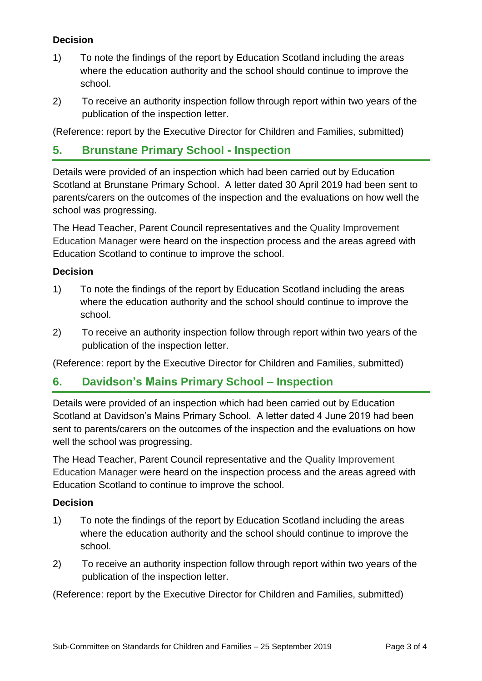#### **Decision**

- 1) To note the findings of the report by Education Scotland including the areas where the education authority and the school should continue to improve the school.
- 2) To receive an authority inspection follow through report within two years of the publication of the inspection letter.

(Reference: report by the Executive Director for Children and Families, submitted)

## **5. Brunstane Primary School - Inspection**

Details were provided of an inspection which had been carried out by Education Scotland at Brunstane Primary School. A letter dated 30 April 2019 had been sent to parents/carers on the outcomes of the inspection and the evaluations on how well the school was progressing.

The Head Teacher, Parent Council representatives and the Quality Improvement Education Manager were heard on the inspection process and the areas agreed with Education Scotland to continue to improve the school.

#### **Decision**

- 1) To note the findings of the report by Education Scotland including the areas where the education authority and the school should continue to improve the school.
- 2) To receive an authority inspection follow through report within two years of the publication of the inspection letter.

(Reference: report by the Executive Director for Children and Families, submitted)

#### **6. Davidson's Mains Primary School – Inspection**

Details were provided of an inspection which had been carried out by Education Scotland at Davidson's Mains Primary School. A letter dated 4 June 2019 had been sent to parents/carers on the outcomes of the inspection and the evaluations on how well the school was progressing.

The Head Teacher, Parent Council representative and the Quality Improvement Education Manager were heard on the inspection process and the areas agreed with Education Scotland to continue to improve the school.

#### **Decision**

- 1) To note the findings of the report by Education Scotland including the areas where the education authority and the school should continue to improve the school.
- 2) To receive an authority inspection follow through report within two years of the publication of the inspection letter.

(Reference: report by the Executive Director for Children and Families, submitted)